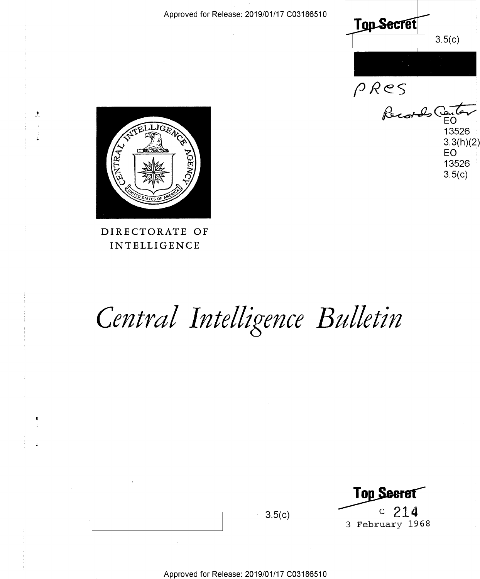Approved for Release: 2019/01/17 C03186510 Approved for Release: 2019/01/17 003186510

**Top secret**  $3.5(c)$ 

**pRes** 

*~cwt,;*  13526 13526 : 3.3(h)(2) 3.3(h)(2) EO <sup>i</sup> **EO**  13526 13526  $3.5(c)$  $Recot-les$ Certer



 $\mathcal{L}$ 

### **DIRECTORATE OF**  DIRECTORATE OF **INTELLIGENCE**  INTELLIGENCE

# Central Intelligence Bulletin

**Top Seeret**<br>3.5(c) <sup>c</sup> 214<br>3 February 1968 3 February 1968 3 February 1968 **Top Seeret**  $3.5(c)$  c  $214$ 

Approved for Release: 2019/01/17 C03186510 Approved for Release: 2019/01/17 003186510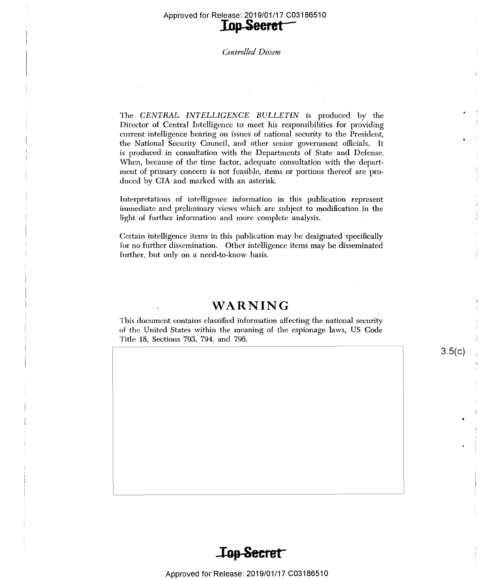### Approved for Release: 2019/01/17 C03186510 Approved for Release: 2019/01/17 003186510 **lop Seeret** -

Ŧ

#### Controlled Dissem

The *CENTRAL INTELLIGENCE BULLETIN* is produced by the Director of Central Intelligence to meet his responsibilities for providing Director of Central Intelligence to meet his responsibilities for providing current intelligence bearing on issues of national security to the President, current intelligence bearing on issues of national security to the President, the National Security Council, and other senior government officials. It the National Security Council, and other senior government officials. It is produced in consultation with the Departments of State and Defense. is produced in consultation with the Departments of State and Defense. When, because of the time factor, adequate consultation with the depart-When, because of the time factor, adequate consultation with the depart ment of primary concern is not feasible, items or portions thereof are produced by CIA and marked with an asterisk. duced by CIA and marked with an asterisk.

Interpretations of intelligence information in this publication represent Interpretations of intelligence information in this publication represent immediate and preliminary views which are subject to modification in the light of further information and more complete analysis. light of further information and more complete analysis. '

Certain intelligence items in this publication may be designated specifically Certain intelligence items in this publication may be designated specifically for no further dissemination. Other intelligence items may be disseminated for no further dissemination. Other intelligence items may be disseminated further, but only on a need-to-know basis.· further, but only on <sup>a</sup> need-to~know basis.

# **WARNING**  WARNING

This document contains classified information affecting the national security This document contains classified information affecting the national security of the United States within the meaning of the espionage laws, US Code Title 18, Sections 793, 794, and 798. Title 18, Sections 793, 794, and 798.



 $3.5(c)$ 

\_ ""':\*:911'T':'"='1"'- - . .........\_...l...\_,.. ...| n. .\_..\_



Approved for Release: 2019/01/17 C03186510 Approved for Release: 2019/01/17 003186510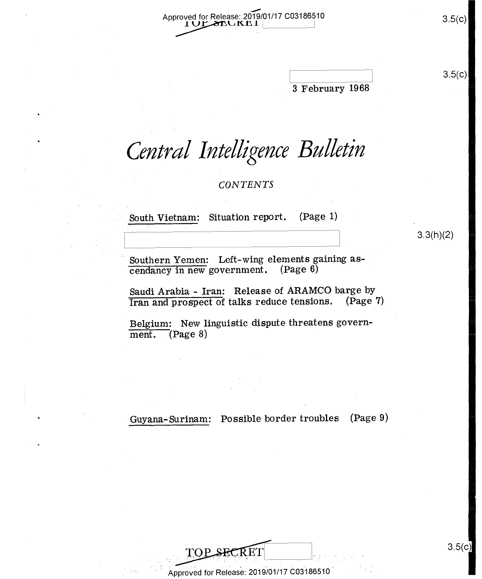—<br>™ Approved for Release: 2019/01/17 C03186510 3.5(c) 3.5(c)

3 February 1968 <sup>3</sup> February 1968 .  $3.5(c)$ 

<u>The Communication of the Communication of the Communication of the Communication of the Communication of the Co</u>

N

# Central Intelligence Bulletin

*CONTENTS* 

Situation report. (Page 1) South Vietnam:

T .. I -

 $3.3(h)(2)$ 

Southern Yemen: Left-wing elements gaining ascendancy in new government. (Page 6)

Saudi Arabia - Iran: Release of ARAMCO barge by Saudi Arabia - Iran: Release of ARAMCO barge by Iran and prospect of talks reduce tensions. (Page 7) Iran and prospec<sup>t</sup> of talks reduce tensionse (Page 7)'

Belgium: New linguistic dispute threatens govern- Belgium: New linguistic dispute threatens govern $m$ ent.  $(Q \ge 8)$ 

Guyana-Surinam: Possible border troubles (Page 9)

3.5(c)

3.5(c)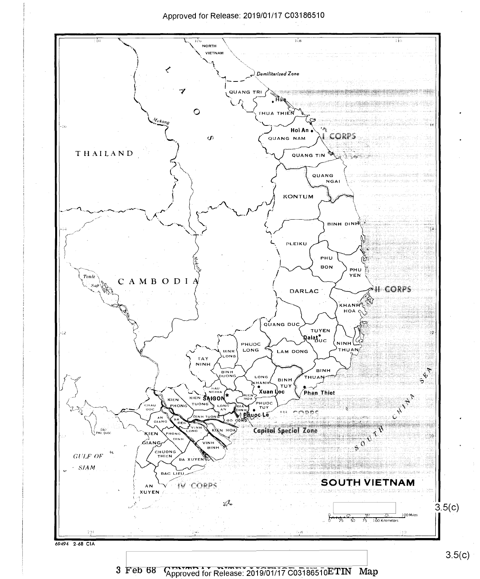### Approved for Release: 2019/01/17 C03186510 Approved for Release: 2019/01/17 003186510



3 Feb 68 Kapproved for Release: 2019/01/17 C03186510ETIN Map  $3.5(c)$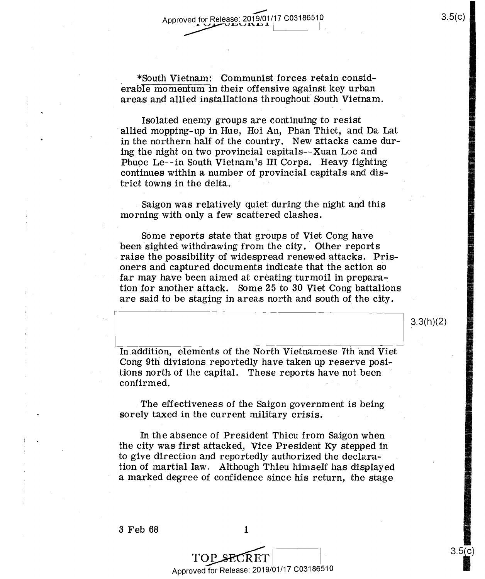\*South Vietnam: Communist forces retain consid-\_ \*South Vietnam: Communist forces retain considerable momentum in their offensive against key urban areas and allied installations throughout South Vietnam. areas and allied installations throughout South Vietnam.

Isolated enemy groups are continuing to resist Isolated enemy groups are continuing to resist ' allied mopping-up in Hue, Hoi An, Phan Thiet, and Da Lat in the northern half of the country. New attacks came during the night on two provincial capitals--Xuan Loc and Phuoc Le--in South Vietnam's III Corps. Heavy fighting continues within a number of provincial capitals and dis-continues within <sup>a</sup> number of provincial capitals and dis- $\text{trict towns in the delta.}$ 

Saigon was relatively quiet during the night and this morning with only a few scattered clashes. morning with only <sup>a</sup> few scattered clashes.

Some reports state that groups of Viet Cong have Some reports state that groups of Viet Cong have been sighted withdrawing from the city. Other reports raise the possibility of widespread renewed attacks. Pris- $\mathbf o$  and captured documents indicate that the action so  $\mathbf o$ far may have been aimed at creating turmoil in preparation for another attack. Some 25 to 30 Viet Cong battalions tion for another attack. Some 25 to 30 Viet Cong battalions are said to be staging in areas north and south of the city. are said to be staging in areas north and south of the city. -

In addition, elements of the North Vietnamese 7th and Viet Cong 9th divisions reportedly have taken up reserve posi-Cong 9th divisions reportedly have taken up reserve posi... tions north of the capital. These reports have not been  $\blacksquare$  $\blacksquare$  confirmed,  $\blacksquare$ 

The effectiveness of the Saigon government is being The effectiveness of the Saigon government is being sorely taxed in the current military crisis. sorely taxed in the current military crisis. \_

In the absence of President Thieu from Saigon when the city was first attacked, Vice President Ky stepped in the city was-first attacked, Vice President Ky stepped in to give direction and reportedly authorized the declara-to give direction and reportedly authorized the declara— . tion of martial law. Although Thieu himself has displayed tion of "martial law. Although Thieu himself has displayed a marked degree of confidence since his return, the stage <sup>a</sup> marked degree of confidence since his return, the stage

I

 $3.3(h)(2)$ 

**EXECUTIVE**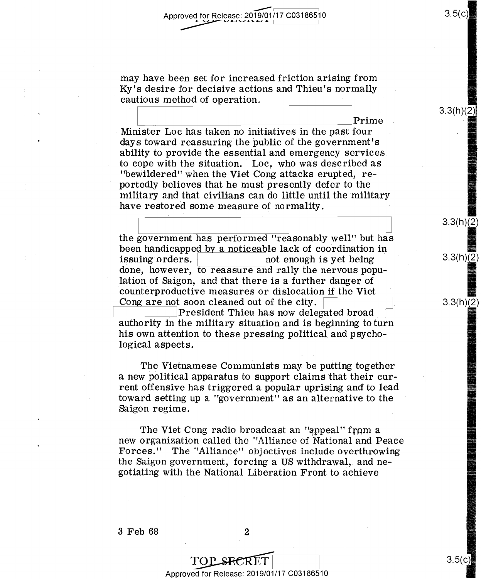may have been set for increased friction arising from may have been set for increased friction arising from Ky's desire for decisive actions and Thieu's normally Ky's desire for decisive actions and Thieu's normally  $cautious method of operation.$ 

 $\mathbf{P}_{\mathbf{r}}$ **Example 1** Prime Minister Loe has taken no initiatives in the past four Minister Loc has taken no initiatives in the past four days toward reassuring the public of the government's days toward—reassuring the public of the government's ability to provide the essential and emergency services ability to provide the essential and emergency services to cope with the situation. Loe, who was described as to. cope with the Situation. 'Loc, who was described as "bewildered" when the Viet Cong attacks erupted, re-"beWildered" when the Viet Cong attacks erupted, re portedly believes that he must presently defer to the portedly believes that he must presently defer to the military and that civilians can do little until the military military and that civilians can do little until the military have restored some measure of normality.

the government has performed "reasonably well" but has the government has performed "reasonably well" but has been handicapped by a noticeable lack of coordination in been handicapped by <sup>a</sup> noticeable lack of coordination in '  $\frac{1}{2}$  issuing orders.  $\frac{1}{2}$  not enough is yet being  $\frac{1}{2}$ done, however, to reassure and rally the nervous popu-done, however, to reassure and rally the nervous popu lation of Saigon, and that there is a further danger of lation of Saigon, and that there is <sup>a</sup> further danger of counterproductive measures or dislocation if the Viet counterproductive measures or dislocation if the Viet  $\frac{1}{\text{Cong are not soon cleaned out of the city.}}$ 

every.<br>President Thieu has now delegated broad authority in the military situation and is beginning to turn authority in the military situation and is beginning to turn his own attention to these pressing political and psychological aspects. logical aspects. '

The Vietnamese Communists may be putting together The Vietnamese Communists may be putting together a new political apparatus to support claims that their cur-<sup>a</sup> new political apparatus to support claims that their current offensive has triggered a popular uprising and to lead toward setting up a "government" as an alternative to the Saigon regime. Saigon regime. -

The Viet Cong radio broadcast an "appeal" from a new organization called the "Alliance of National and Peace new organization called the "Alliance of National and Peace Forces." The "Alliance" objectives include overthrowing Forces." The "Alliance" objectives include overthrowing the Saigon government, forcing a US withdrawal, and ne-the Saigon government, forcing <sup>a</sup> US withdrawal, and ne gotiating with the National Liberation Front to achieve gotiating with the National Liberation Front to achieve

 $3.5(c)$ 

 $3.3(h)(2)$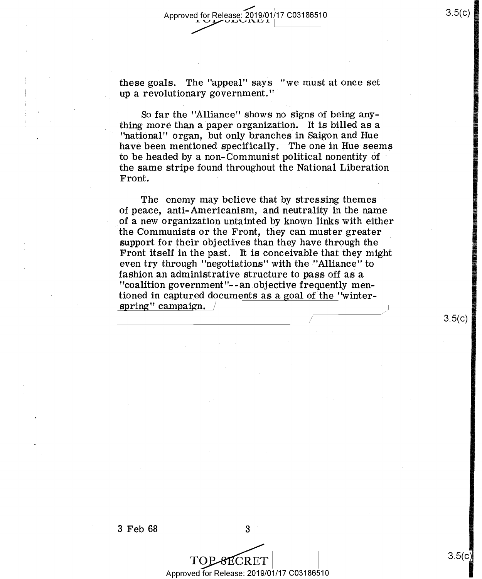these goals. The "appeal" says "we must at once set<br>in a revolutionary covernment."  $up a$  revolutionary government."

So far the "Alliance" shows no signs of being any-So far the "Alliance" shows no nsigns of being anything more than a paper organization. It is billed as a thing more than <sup>a</sup> paper organization. It is billed as <sup>a</sup> " "national" organ, but only branches in Saigon and Hue have been mentioned specifically. The one in Hue seems have been mentioned Specifically. The one in Hue seems to be headed by a non- Communist political nonentity of to be headed by a- non- Communist political nonentity of ' the same stripe found throughout the National Liberation the same-stripe found throughout the National Liberation Front. The set of the set of the set of the set of the set of the set of the set of the set of the set of the set of the set of the set of the set of the set of the set of the set of the set of the set of the set of the se

The enemy may believe that by stressing themes The enemy may believe that by stressing themes ' of peace, anti-Americanism, and neutrality in the name of peace, anti-Americanism, and neutralityin the name of a new organization untainted by known links with either of <sup>a</sup> new organization untainted by known links with either the Communists or the Front, they can muster greater support for their objectives than they have through the support 'for their objectives than they have through the Front itself in the past. It is conceivable that they might even try through "negotiations" with the "Alliance" to  $\sim$ fashion an administrative structure to pass off as a fashionan administrative structure to pass off as <sup>a</sup> "coalition government"--an objective frequently men-"coalition government"—eanobjective frequently mentioned in captured documents as a goal of the "winter-<br>spring" campaign. / spring" campaign. /

3<br>
TOP SECRET<br>
Approved for Release: 2019/01/17 C03186510

3ECRET

3.5(c)

3.5(c)

.... e

 $3.5(c)$ 

 $3 \text{ Feb } 68$   $3 \text{ }$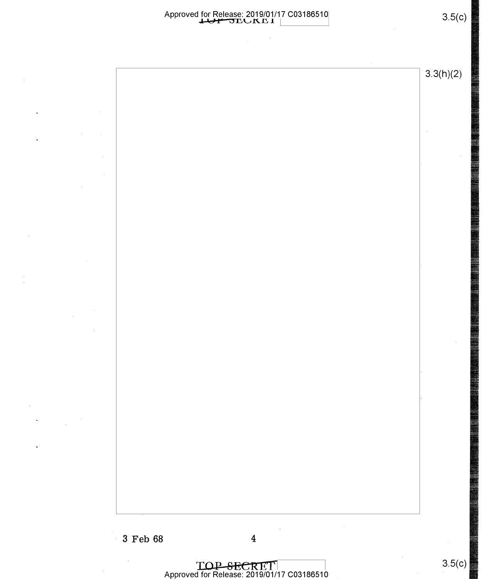### Approved for Release: 2019/01/17 C03186510<br> **Approved for Release: 2019/01/17 C03186510** for Release: 2019/01/17 C03186510<br><del>LUIT D</del>EUKE I |

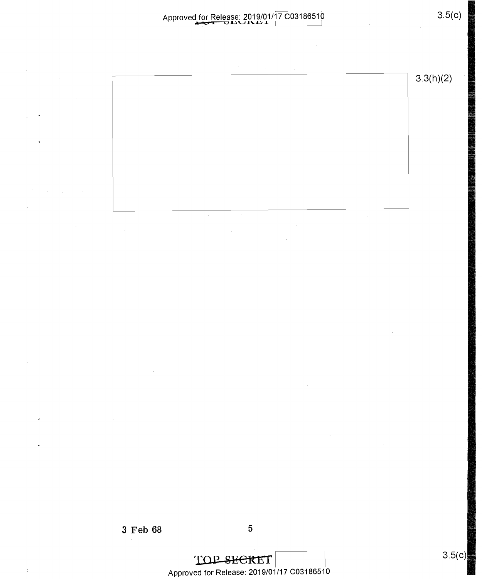# Approved for Release: 2019/01/17 C03186510 **...\_CI U~'-'.1.'-.L.:.I ..J..**  Approved for Release: 2019/01/17 <sup>003186510</sup> \_ 3.5(0) muu1\u<sup>1</sup> <sup>1</sup> <sup>I</sup> .

3.3(h)(2)

 $\sim$ 

 $\bar{\mathcal{A}}$ 

3 Feb 68 5 3 Feb 68 5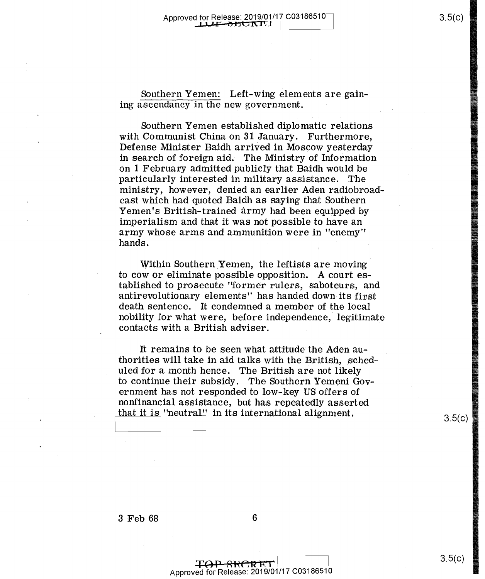Southern Yemen: Left-wing elements are gaining ascendancy in the new government. ing ascendancy in the new government.

Southern Yemen established diplomatic relations Southern Yemen established diplomatic relations with Communist China on 31 January. Furthermore, with Communist China on 31 January. Furthermore, Defense Minister Baidh arrived in Moscow yesterday Defense Minister Baidh arrived in Moscow yesterday in search of foreign aid. The Ministry of Information in search of foreign aid. The Ministry of Information on 1 February admitted publicly that Baidh would be **the same of the set** particularly interested in military assistance. The particularly interested in military assistance. ' The ministry, however, denied an earlier Aden radiobroadcast which had quoted Baidh as saying that Southern cast which had quoted Baidh as saying that Southern Yemen's British-trained army had been equipped by Yemen's British—trained army had been equipped by imperialism and that it was not possible to have an imperialism and that it was not possible to have an army whose arms and ammunition were in "enemy" army whose arms and ammunition were in "enemy" hands. hands. -

Within Southern Yemen, the leftists are moving Within Southern Yemen, the leftists are moving to cow or eliminate possible opposition. A court es-to cow or eliminate possible opposition. A court es tablished to prosecute "former rulers, saboteurs, and tablished to prosecute "former rulers, saboteurs, and antirevolutionary elements" has handed down its first antirevolutionary elements" has handed down—its first death sentence. It condemned a member of the local death sentence. It condemned a member of the local nobility for what were, before independence, legitimate nobility for what were, before independence, legitimate contacts with a British adviser. contacts with a British adviser.

It remains to be seen what attitude the Aden au-It remains to be seen what attitude the Aden au thorities will take in aid talks with the British, scheduled for a month hence. The British are not likely uled for <sup>a</sup> month hence. The British are not likely to continue their subsidy. The Southern Yemeni Gov-to continue their subsidy. The Southern Yemeni Gov ernment has not responded to low-key US offers of ernment has not responded to low—key US offers of nonfinancial assistance, but has repeatedly asserted nonfinancial assistance, but has repeatedly asserted<br>that it is "neutral" in its international alignment.  $\frac{3.5(0)}{2.2}$ 

3.5(c)

I I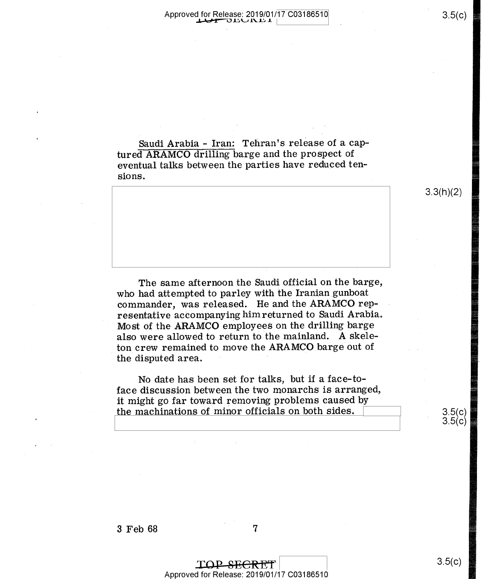Saudi Arabia - Iran: Tehran's release of a cap- Saudi Arabia - Iran: Tehran's release of <sup>a</sup> captured **ARAMCO** drilling barge and the prospect of tured ARAMCO drilling barge and the prospec<sup>t</sup> of eventual talks between the parties have reduced ten-eventual talks between the parties have reduced tensions.  $sions.$ 

The same afternoon the Saudi official on the barge, The same afternoon the saudi offiCial on the barge, who had attempted to parley with the Iranian gunboat commander, was released. He and the ARAMCO rep-commander, was released. He and the ARAMCO representative accompanying him returned to Saudi Arabia. resentative accompanying him returned to Saudi Arabia, Most of the ARAMCO employees on the drilling barge Most of the ARAMCO employees on the drilling barge also were allowed to return to the mainland. A skeleton crew remained to move the ARAMCO barge out of  $\mathbf t$ he disputed area.  $\mathbf t$ 

No date has been set for talks, but if a face-to- No date has been setfor talks, but if <sup>a</sup> face—toface discussion between the two monarchs is arranged, face discussion between the two monarchs is. arranged, it might go far toward removing problems caused by it might go far toward removing problems caused by . the machinations of minor officials on both sides.  $\sim$  3.5(c)

3.5(c)  $3.5(c)$ 

3.3(h)(2)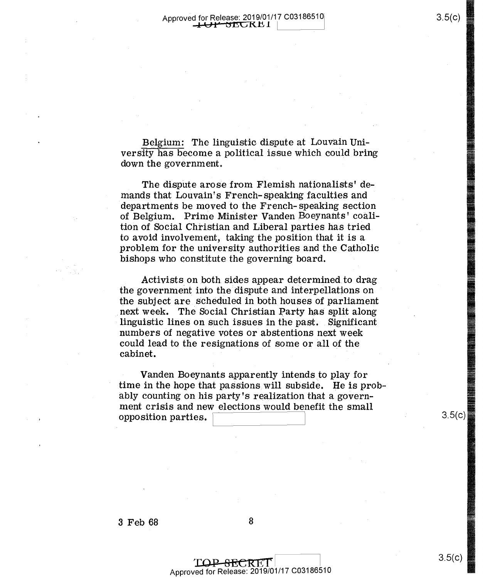Belgium: The linguistic dispute at Louvain University has become a political issue which could bring versity has become <sup>a</sup> political issue which could bring down the government.

The dispute arose from Flemish nationalists' demands that Louvain's French-speaking faculties and departments be moved to the French-speaking section departments be moVed to the FrenCh- speaking section of Belgium. Prime Minister Vanden Boeynants' coali-of Belgium. Prime Minister Vanden Boeynants' coalition of Social Christian and Liberal parties has tried tion of Social Christian and Liberal parties has tried to avoid involvement, taking the position that it is a to avoid involvement, taking the position that it is <sup>a</sup> problem for the university authorities and the Catholic problem for the university authorities and the Catholic bishops who constitute the governing board.

Activists on both sides appear determined to drag the government into the dispute and interpellations on the subject are scheduled in both houses of parliament next week. The Social Christian Party has split along linguistic lines on such issues in the past. Significant linguistic lines on such issues in the past. . Significant numbers of negative votes or abstentions next week could lead to the resignations of some or all of the could lead to. the resignations of some or all Of the cabinet.

Vanden Boeynants apparently intends to play for Vanden Boeynants apparently intendsto playfor time in the hope that passions will subside. He is probably counting on his party's realization that a govern-ably counting on his party's realization that agovern ment crisis and new elections would benefit the small ment crisis and new e1ections'Wou1d benefit the small  $\text{opposition particles.} \quad \overbrace{\hspace{25mm} }^{3.5\text{(c)}}$ 

 $3.5(c)$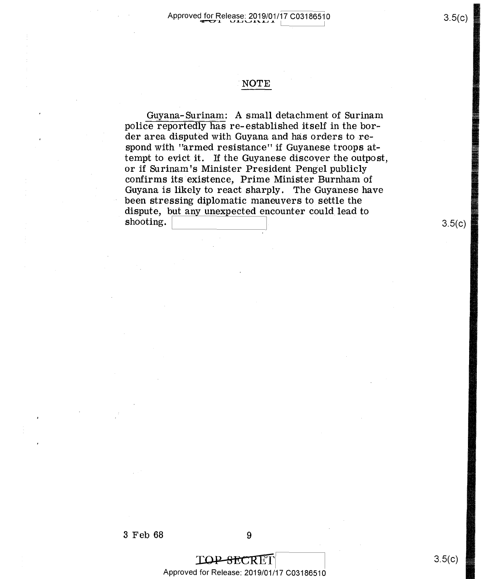## **NOTE**  JNOTE

Guyana-Surinam: A small detachment of Surinam Guyana— Surinam: A small detachment of Surinam police reportedly has re- established itself in the bor-pOIice reportedly has re—established itself in the bor der area disputed with Guyana and has orders to respond with "armed resistance" if Guyanese troops at-spend with "armed resistance" if Guyanese troops at tempt to evict it. If the Guyanese discover the outpost, tempt to evict it. If the Guyanese discoverthe outpost, or if Surinam's Minister President Pengel publicly confirms its existence, Prime Minister Burnham of confirms its-existence, Prime Minister Burnham of Guyana is likely to react sharply. The Guyanese have Guyana is likely to react sharply. The Guyanese have been stressing diplomatic maneuvers to settle the been stressing diplomatic maneuvers to. Settle the dispute, b<u>ut any unexpected e</u>ncounter could lead to  $\mathbf{s}$  shooting.  $\begin{bmatrix} 1 & 1 & 1 \\ 1 & 1 & 1 \\ 1 & 1 & 1 \end{bmatrix}$ 

TOP SECRET Approved for Release: 2019/01/17 C03186510 Approved for Release: 2019/01/17 003186510